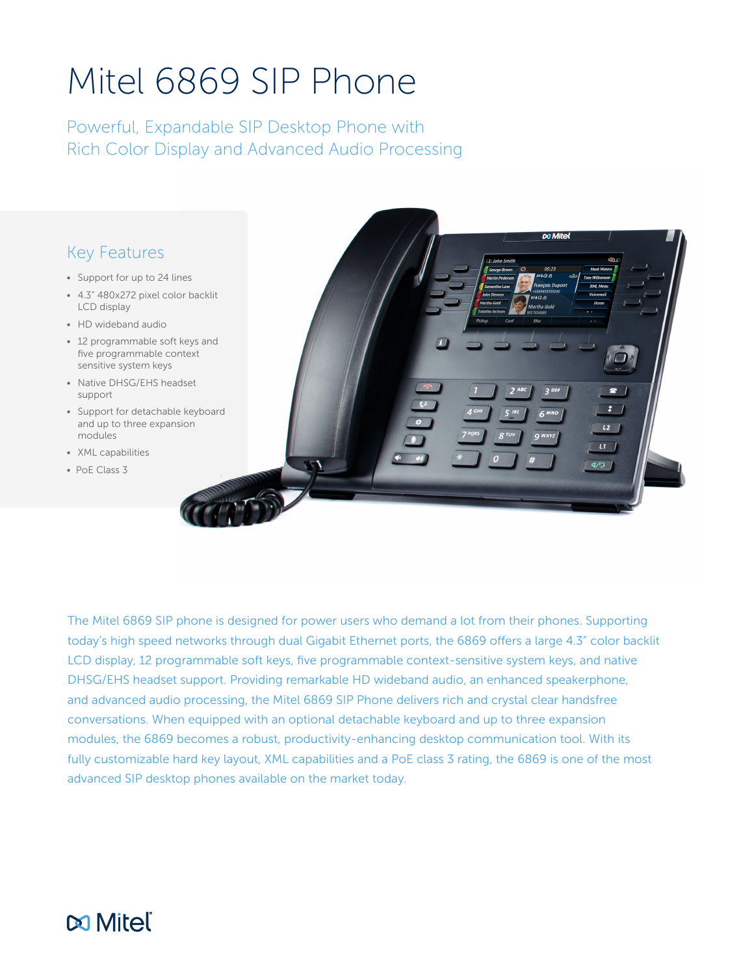# Mitel 6869 SIP Phone

Powerful, Expandable SIP Desktop Phone with Rich Color Display and Advanced Audio Processing

### Key Features

- Support for up to 24 lines
- 4.3" 480x272 pixel color backlit LCD display
- HD wideband audio
- 12 programmable soft keys and five programmable context sensitive system keys
- Native DHSG/EHS headset support
- Support for detachable keyboard and up to three expansion modules
- XML capabilities
- PoE Class 3



The Mitel 6869 SIP phone is designed for power users who demand a lot from their phones. Supporting today's high speed networks through dual Gigabit Ethernet ports, the 6869 offers a large 4.3" color backlit LCD display, 12 programmable soft keys, five programmable context-sensitive system keys, and native DHSG/EHS headset support. Providing remarkable HD wideband audio, an enhanced speakerphone, and advanced audio processing, the Mitel 6869 SIP Phone delivers rich and crystal clear handsfree conversations. When equipped with an optional detachable keyboard and up to three expansion modules, the 6869 becomes a robust, productivity-enhancing desktop communication tool. With its fully customizable hard key layout, XML capabilities and a PoE class 3 rating, the 6869 is one of the most advanced SIP desktop phones available on the market today.

## **DO Mitel**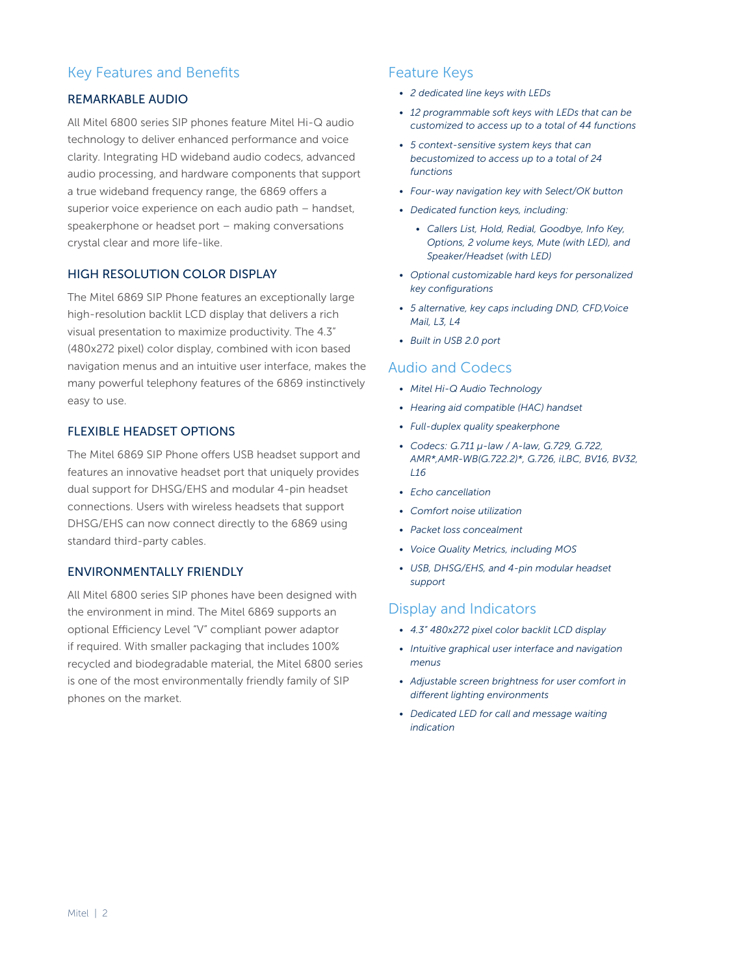#### Key Features and Benefits

#### REMARKABLE AUDIO

All Mitel 6800 series SIP phones feature Mitel Hi-Q audio technology to deliver enhanced performance and voice clarity. Integrating HD wideband audio codecs, advanced audio processing, and hardware components that support a true wideband frequency range, the 6869 offers a superior voice experience on each audio path – handset, speakerphone or headset port – making conversations crystal clear and more life-like.

#### HIGH RESOLUTION COLOR DISPLAY

The Mitel 6869 SIP Phone features an exceptionally large high-resolution backlit LCD display that delivers a rich visual presentation to maximize productivity. The 4.3" (480x272 pixel) color display, combined with icon based navigation menus and an intuitive user interface, makes the many powerful telephony features of the 6869 instinctively easy to use.

#### FLEXIBLE HEADSET OPTIONS

The Mitel 6869 SIP Phone offers USB headset support and features an innovative headset port that uniquely provides dual support for DHSG/EHS and modular 4-pin headset connections. Users with wireless headsets that support DHSG/EHS can now connect directly to the 6869 using standard third-party cables.

#### ENVIRONMENTALLY FRIENDLY

All Mitel 6800 series SIP phones have been designed with the environment in mind. The Mitel 6869 supports an optional Efficiency Level "V" compliant power adaptor if required. With smaller packaging that includes 100% recycled and biodegradable material, the Mitel 6800 series is one of the most environmentally friendly family of SIP phones on the market.

#### Feature Keys

- *• 2 dedicated line keys with LEDs*
- *• 12 programmable soft keys with LEDs that can be customized to access up to a total of 44 functions*
- *• 5 context-sensitive system keys that can becustomized to access up to a total of 24 functions*
- *• Four-way navigation key with Select/OK button*
- *• Dedicated function keys, including:*
	- *• Callers List, Hold, Redial, Goodbye, Info Key, Options, 2 volume keys, Mute (with LED), and Speaker/Headset (with LED)*
- *• Optional customizable hard keys for personalized key configurations*
- *• 5 alternative, key caps including DND, CFD,Voice Mail, L3, L4*
- *• Built in USB 2.0 port*

#### Audio and Codecs

- *• Mitel Hi-Q Audio Technology*
- *• Hearing aid compatible (HAC) handset*
- *• Full-duplex quality speakerphone*
- *• Codecs: G.711 μ-law / A-law, G.729, G.722, AMR\*,AMR-WB(G.722.2)\*, G.726, iLBC, BV16, BV32, L16*
- *• Echo cancellation*
- *• Comfort noise utilization*
- *• Packet loss concealment*
- *• Voice Quality Metrics, including MOS*
- *• USB, DHSG/EHS, and 4-pin modular headset support*

#### Display and Indicators

- *• 4.3" 480x272 pixel color backlit LCD display*
- *• Intuitive graphical user interface and navigation menus*
- *• Adjustable screen brightness for user comfort in different lighting environments*
- *• Dedicated LED for call and message waiting indication*